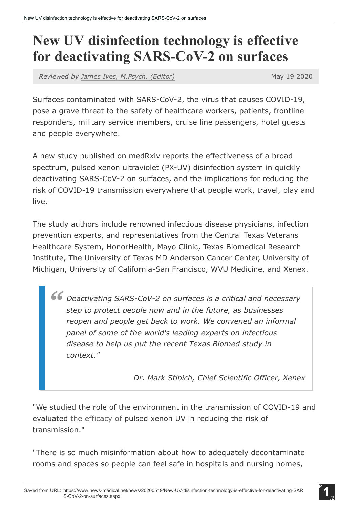## New UV disinfection technology is effective for deactivating SARS-CoV-2 on surfaces

*Reviewed by James Ives, [M.Psych.](https://www.news-medical.net/medical/authors/james-ives) (Editor)* May 19 2020

Surfaces contaminated with SARS-CoV-2, the virus that causes COVID-19, pose a grave threat to the safety of healthcare workers, patients, frontline responders, military service members, cruise line passengers, hotel guests and people everywhere.

A new study published on medRxiv reports the effectiveness of a broad spectrum, pulsed xenon ultraviolet (PX-UV) disinfection system in quickly deactivating SARS-CoV-2 on surfaces, and the implications for reducing the risk of COVID-19 transmission everywhere that people work, travel, play and live.

The study authors include renowned infectious disease physicians, infection prevention experts, and representatives from the Central Texas Veterans Healthcare System, HonorHealth, Mayo Clinic, Texas Biomedical Research Institute, The University of Texas MD Anderson Cancer Center, University of Michigan, University of California-San Francisco, WVU Medicine, and Xenex.

*Deactivating SARSCoV2 on surfaces is a critical and necessary step to protect people now and in the future, as businesses reopen and people get back to work. We convened an informal panel of some of the world's leading experts on infectious disease to help us put the recent Texas Biomed study in context."*

*Dr. Mark Stibich, Chief Scientific Officer, Xenex*

"We studied the role of the environment in the transmission of COVID-19 and evaluated the [efficacy](https://www.news-medical.net/health/What-Does-Efficacy-Mean.aspx) of pulsed xenon UV in reducing the risk of transmission."

"There is so much misinformation about how to adequately decontaminate rooms and spaces so people can feel safe in hospitals and nursing homes,